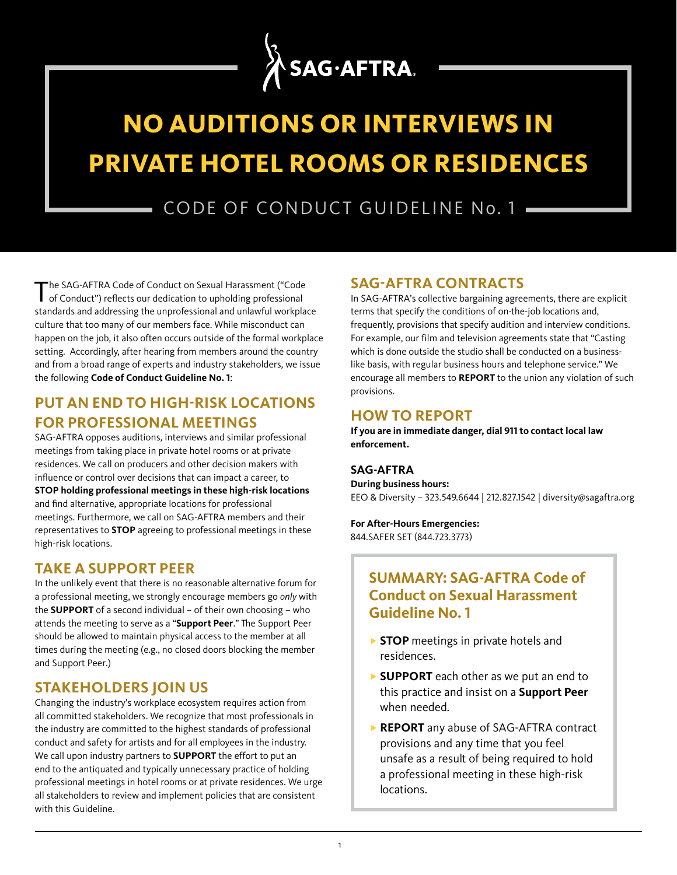

# **NO AUDITIONS OR INTERVIEWS IN PRIVATE HOTEL ROOMS OR RESIDENCES**

CODE OF CONDUCT GUIDELINE No. 1

The SAG-AFTRA Code of Conduct on Sexual Harassment ("Code of Conduct") reflects our dedication to upholding professional standards and addressing the unprofessional and unlawful workplace culture that too many of our members face. While misconduct can happen on the job, it also often occurs outside of the formal workplace setting. Accordingly, after hearing from members around the country and from a broad range of experts and industry stakeholders, we issue the following **Code of Conduct Guideline No. 1**:

# **PUT AN END TO HIGH-RISK LOCATIONS FOR PROFESSIONAL MEETINGS**

SAG-AFTRA opposes auditions, interviews and similar professional meetings from taking place in private hotel rooms or at private residences. We call on producers and other decision makers with influence or control over decisions that can impact a career, to **STOP holding professional meetings in these high-risk locations** and find alternative, appropriate locations for professional meetings. Furthermore, we call on SAG-AFTRA members and their representatives to **STOP** agreeing to professional meetings in these high-risk locations.

#### **TAKE A SUPPORT PEER**

In the unlikely event that there is no reasonable alternative forum for a professional meeting, we strongly encourage members go *only* with the **SUPPORT** of a second individual – of their own choosing – who attends the meeting to serve as a "**Support Peer**." The Support Peer should be allowed to maintain physical access to the member at all times during the meeting (e.g., no closed doors blocking the member and Support Peer.)

### **STAKEHOLDERS JOIN US**

Changing the industry's workplace ecosystem requires action from all committed stakeholders. We recognize that most professionals in the industry are committed to the highest standards of professional conduct and safety for artists and for all employees in the industry. We call upon industry partners to **SUPPORT** the effort to put an end to the antiquated and typically unnecessary practice of holding professional meetings in hotel rooms or at private residences. We urge all stakeholders to review and implement policies that are consistent with this Guideline.

# **SAG-AFTRA CONTRACTS**

In SAG-AFTRA's collective bargaining agreements, there are explicit terms that specify the conditions of on-the-job locations and, frequently, provisions that specify audition and interview conditions. For example, our film and television agreements state that "Casting which is done outside the studio shall be conducted on a businesslike basis, with regular business hours and telephone service." We encourage all members to **REPORT** to the union any violation of such provisions.

#### **HOW TO REPORT**

**If you are in immediate danger, dial 911 to contact local law enforcement.**

#### **SAG-AFTRA**

**During business hours:** EEO & Diversity – 323.549.6644 | 212.827.1542 | diversity@sagaftra.org

**For After-Hours Emergencies:** 844.SAFER SET (844.723.3773)

# **SUMMARY: SAG-AFTRA Code of Conduct on Sexual Harassment Guideline No. 1**

- **STOP** meetings in private hotels and residences.
- ▶ **SUPPORT** each other as we put an end to this practice and insist on a **Support Peer** when needed.
- **REPORT** any abuse of SAG-AFTRA contract provisions and any time that you feel unsafe as a result of being required to hold a professional meeting in these high-risk locations.